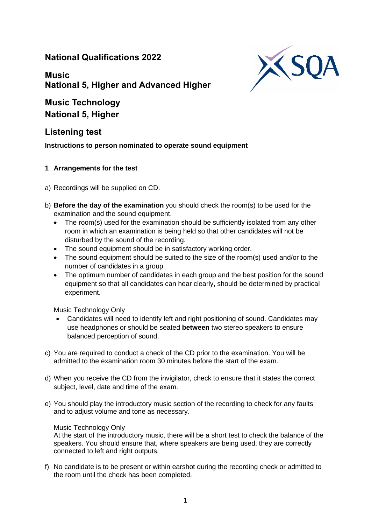## **National Qualifications 2022**

XSI

# **Music National 5, Higher and Advanced Higher**

**Music Technology National 5, Higher**

# **Listening test**

**Instructions to person nominated to operate sound equipment**

### **1 Arrangements for the test**

- a) Recordings will be supplied on CD.
- b) **Before the day of the examination** you should check the room(s) to be used for the examination and the sound equipment.
	- The room(s) used for the examination should be sufficiently isolated from any other room in which an examination is being held so that other candidates will not be disturbed by the sound of the recording.
	- The sound equipment should be in satisfactory working order.
	- The sound equipment should be suited to the size of the room(s) used and/or to the number of candidates in a group.
	- The optimum number of candidates in each group and the best position for the sound equipment so that all candidates can hear clearly, should be determined by practical experiment.

Music Technology Only

- Candidates will need to identify left and right positioning of sound. Candidates may use headphones or should be seated **between** two stereo speakers to ensure balanced perception of sound.
- c) You are required to conduct a check of the CD prior to the examination. You will be admitted to the examination room 30 minutes before the start of the exam.
- d) When you receive the CD from the invigilator, check to ensure that it states the correct subject, level, date and time of the exam.
- e) You should play the introductory music section of the recording to check for any faults and to adjust volume and tone as necessary.

### Music Technology Only

At the start of the introductory music, there will be a short test to check the balance of the speakers. You should ensure that, where speakers are being used, they are correctly connected to left and right outputs.

f) No candidate is to be present or within earshot during the recording check or admitted to the room until the check has been completed.